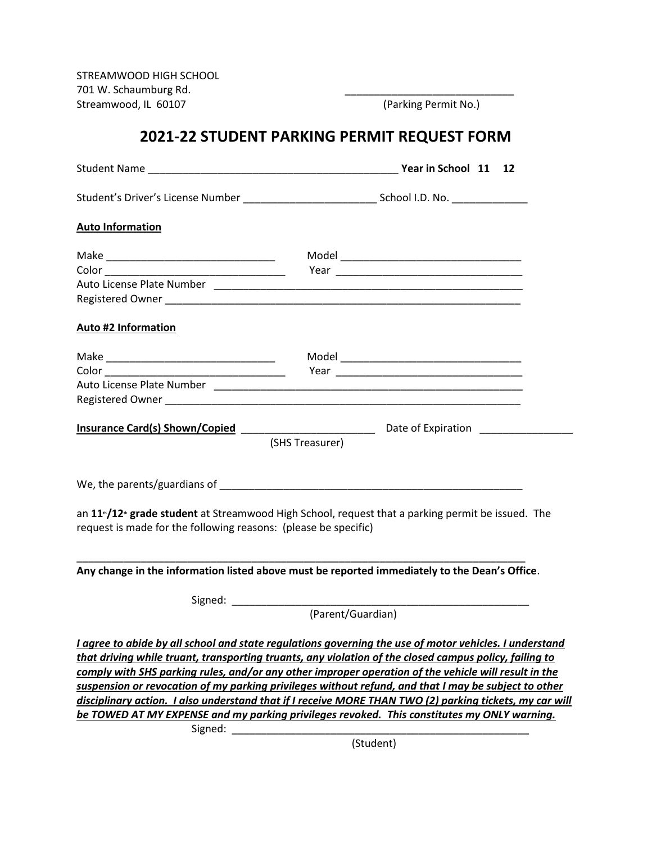STREAMWOOD HIGH SCHOOL 701 W. Schaumburg Rd.<br>
Streamwood, IL 60107 (Parking Permit No.)  $Streamwood, IL 60107$ 

## **2021-22 STUDENT PARKING PERMIT REQUEST FORM**

| <b>Auto Information</b>                                         |                                                                                                                           |  |
|-----------------------------------------------------------------|---------------------------------------------------------------------------------------------------------------------------|--|
|                                                                 |                                                                                                                           |  |
|                                                                 |                                                                                                                           |  |
|                                                                 |                                                                                                                           |  |
|                                                                 |                                                                                                                           |  |
| <b>Auto #2 Information</b>                                      |                                                                                                                           |  |
|                                                                 |                                                                                                                           |  |
|                                                                 |                                                                                                                           |  |
|                                                                 |                                                                                                                           |  |
|                                                                 |                                                                                                                           |  |
|                                                                 |                                                                                                                           |  |
|                                                                 | (SHS Treasurer)                                                                                                           |  |
|                                                                 |                                                                                                                           |  |
| request is made for the following reasons: (please be specific) | an 11 <sup>+</sup> /12 <sup>*</sup> grade student at Streamwood High School, request that a parking permit be issued. The |  |
|                                                                 | Any change in the information listed above must be reported immediately to the Dean's Office.                             |  |
|                                                                 |                                                                                                                           |  |
|                                                                 | (Parent/Guardian)                                                                                                         |  |
|                                                                 | I agree to abide by all school and state regulations governing the use of motor vehicles. I understand                    |  |
|                                                                 | that driving while truant, transporting truants, any violation of the closed campus policy, failing to                    |  |
|                                                                 | comply with SHS parking rules, and/or any other improper operation of the vehicle will result in the                      |  |
|                                                                 | suspension or revocation of my parking privileges without refund, and that I may be subject to other                      |  |
|                                                                 | disciplinary action. I also understand that if I receive MORE THAN TWO (2) parking tickets, my car will                   |  |
|                                                                 | be TOWED AT MY EXPENSE and my parking privileges revoked. This constitutes my ONLY warning.                               |  |
| Signed:                                                         |                                                                                                                           |  |

(Student)